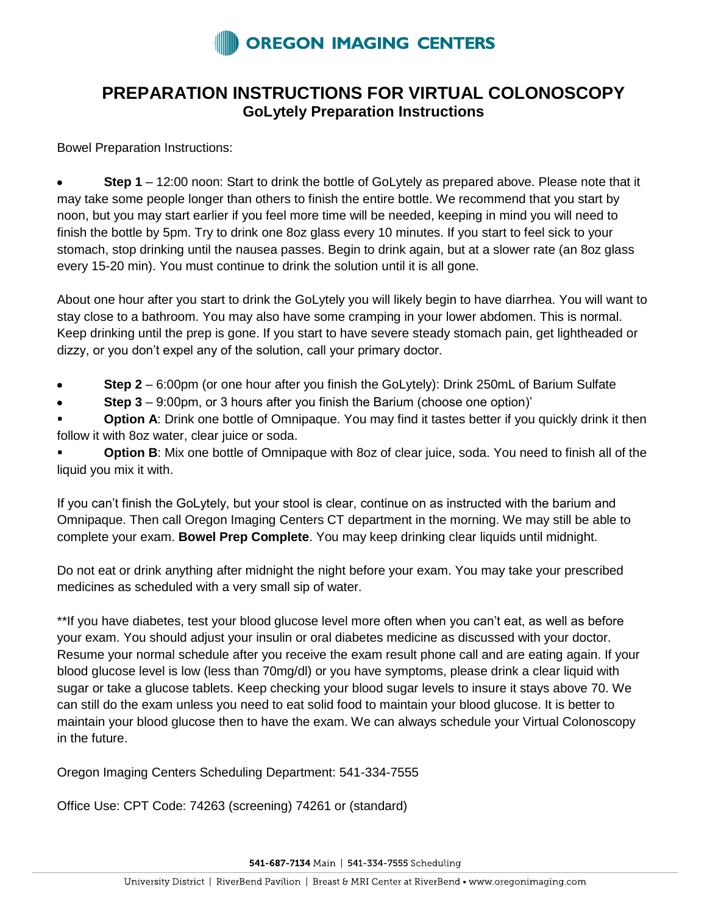

## **PREPARATION INSTRUCTIONS FOR VIRTUAL COLONOSCOPY GoLytely Preparation Instructions**

Bowel Preparation Instructions:

 $\bullet$ **Step 1** – 12:00 noon: Start to drink the bottle of GoLytely as prepared above. Please note that it may take some people longer than others to finish the entire bottle. We recommend that you start by noon, but you may start earlier if you feel more time will be needed, keeping in mind you will need to finish the bottle by 5pm. Try to drink one 8oz glass every 10 minutes. If you start to feel sick to your stomach, stop drinking until the nausea passes. Begin to drink again, but at a slower rate (an 8oz glass every 15-20 min). You must continue to drink the solution until it is all gone.

About one hour after you start to drink the GoLytely you will likely begin to have diarrhea. You will want to stay close to a bathroom. You may also have some cramping in your lower abdomen. This is normal. Keep drinking until the prep is gone. If you start to have severe steady stomach pain, get lightheaded or dizzy, or you don't expel any of the solution, call your primary doctor.

- **Step 2** 6:00pm (or one hour after you finish the GoLytely): Drink 250mL of Barium Sulfate
- **Step 3** 9:00pm, or 3 hours after you finish the Barium (choose one option)'

**Option A:** Drink one bottle of Omnipaque. You may find it tastes better if you quickly drink it then follow it with 8oz water, clear juice or soda.

 **Option B**: Mix one bottle of Omnipaque with 8oz of clear juice, soda. You need to finish all of the liquid you mix it with.

If you can't finish the GoLytely, but your stool is clear, continue on as instructed with the barium and Omnipaque. Then call Oregon Imaging Centers CT department in the morning. We may still be able to complete your exam. **Bowel Prep Complete**. You may keep drinking clear liquids until midnight.

Do not eat or drink anything after midnight the night before your exam. You may take your prescribed medicines as scheduled with a very small sip of water.

\*\*If you have diabetes, test your blood glucose level more often when you can't eat, as well as before your exam. You should adjust your insulin or oral diabetes medicine as discussed with your doctor. Resume your normal schedule after you receive the exam result phone call and are eating again. If your blood glucose level is low (less than 70mg/dl) or you have symptoms, please drink a clear liquid with sugar or take a glucose tablets. Keep checking your blood sugar levels to insure it stays above 70. We can still do the exam unless you need to eat solid food to maintain your blood glucose. It is better to maintain your blood glucose then to have the exam. We can always schedule your Virtual Colonoscopy in the future.

Oregon Imaging Centers Scheduling Department: 541-334-7555

Office Use: CPT Code: 74263 (screening) 74261 or (standard)